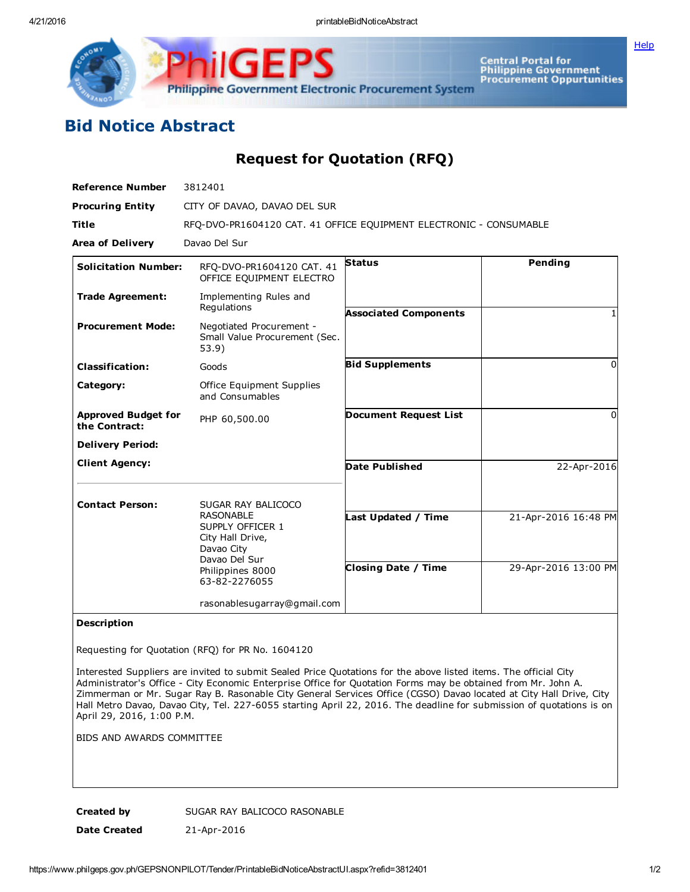Philippine Government Electronic Procurement System

Central Portal for<br>Philippine Government<br>Procurement Oppurtunities

## Bid Notice Abstract

Request for Quotation (RFQ)

| <b>Reference Number</b>                     | 3812401                                                                                                                                            |                                                   |                                              |
|---------------------------------------------|----------------------------------------------------------------------------------------------------------------------------------------------------|---------------------------------------------------|----------------------------------------------|
| <b>Procuring Entity</b>                     | CITY OF DAVAO, DAVAO DEL SUR                                                                                                                       |                                                   |                                              |
| <b>Title</b>                                | RFO-DVO-PR1604120 CAT. 41 OFFICE EOUIPMENT ELECTRONIC - CONSUMABLE                                                                                 |                                                   |                                              |
| <b>Area of Delivery</b>                     | Davao Del Sur                                                                                                                                      |                                                   |                                              |
| <b>Solicitation Number:</b>                 | RFO-DVO-PR1604120 CAT. 41<br>OFFICE EQUIPMENT ELECTRO                                                                                              | <b>Status</b>                                     | Pending                                      |
| <b>Trade Agreement:</b>                     | Implementing Rules and<br>Regulations                                                                                                              | <b>Associated Components</b>                      |                                              |
| <b>Procurement Mode:</b>                    | Negotiated Procurement -<br>Small Value Procurement (Sec.<br>53.9)                                                                                 |                                                   |                                              |
| <b>Classification:</b>                      | Goods                                                                                                                                              | <b>Bid Supplements</b>                            | $\Omega$                                     |
| Category:                                   | Office Equipment Supplies<br>and Consumables                                                                                                       |                                                   |                                              |
| <b>Approved Budget for</b><br>the Contract: | PHP 60,500.00                                                                                                                                      | <b>Document Request List</b>                      | $\Omega$                                     |
| <b>Delivery Period:</b>                     |                                                                                                                                                    |                                                   |                                              |
| <b>Client Agency:</b>                       |                                                                                                                                                    | <b>Date Published</b>                             | 22-Apr-2016                                  |
| <b>Contact Person:</b>                      | SUGAR RAY BALICOCO<br><b>RASONABLE</b><br>SUPPLY OFFICER 1<br>City Hall Drive,<br>Davao City<br>Davao Del Sur<br>Philippines 8000<br>63-82-2276055 | Last Updated / Time<br><b>Closing Date / Time</b> | 21-Apr-2016 16:48 PM<br>29-Apr-2016 13:00 PM |
|                                             | rasonablesugarray@gmail.com                                                                                                                        |                                                   |                                              |

## Description

Requesting for Quotation (RFQ) for PR No. 1604120

Interested Suppliers are invited to submit Sealed Price Quotations for the above listed items. The official City Administrator's Office - City Economic Enterprise Office for Quotation Forms may be obtained from Mr. John A. Zimmerman or Mr. Sugar Ray B. Rasonable City General Services Office (CGSO) Davao located at City Hall Drive, City Hall Metro Davao, Davao City, Tel. 227-6055 starting April 22, 2016. The deadline for submission of quotations is on April 29, 2016, 1:00 P.M.

BIDS AND AWARDS COMMITTEE

Created by SUGAR RAY BALICOCO RASONABLE Date Created 21-Apr-2016

**[Help](javascript:void(window.open()**